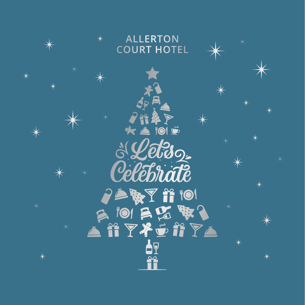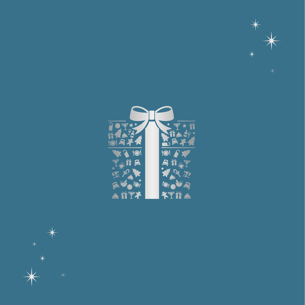



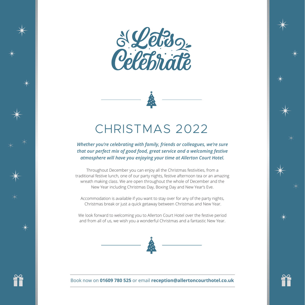



## CHRISTMAS 2022

*Whether you're celebrating with family, friends or colleagues, we're sure that our perfect mix of good food, great service and a welcoming festive atmosphere will have you enjoying your time at Allerton Court Hotel.*

Throughout December you can enjoy all the Christmas festivities, from a traditional festive lunch, one of our party nights, festive afternoon tea or an amazing wreath making class. We are open throughout the whole of December and the New Year including Christmas Day, Boxing Day and New Year's Eve.

Accommodation is available if you want to stay over for any of the party nights, Christmas break or just a quick getaway between Christmas and New Year.

We look forward to welcoming you to Allerton Court Hotel over the festive period and from all of us, we wish you a wonderful Christmas and a fantastic New Year.

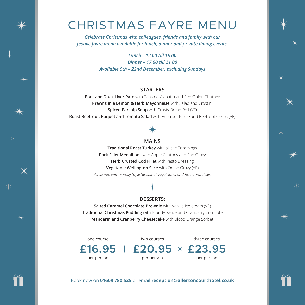### CHRISTMAS FAYRE MENU

*Celebrate Christmas with colleagues, friends and family with our festive fayre menu available for lunch, dinner and private dining events.*

> *Lunch – 12.00 till 15.00 Dinner – 17.00 till 21.00 Available 5th – 22nd December, excluding Sundays*

#### **STARTERS**

**Pork and Duck Liver Pate** with Toasted Ciabatta and Red Onion Chutney **Prawns in a Lemon & Herb Mayonnaise** with Salad and Crostini **Spiced Parsnip Soup** with Crusty Bread Roll (VE) **Roast Beetroot, Roquet and Tomato Salad** with Beetroot Puree and Beetroot Crisps (VE)

### **MAINS**

**Traditional Roast Turkey** with all the Trimmings **Pork Fillet Medallions** with Apple Chutney and Pan Gravy **Herb Crusted Cod Fillet** with Pesto Dressing **Vegetable Wellington Slice** with Onion Gravy (VE) *All served with Family Style Seasonal Vegetables and Roast Potatoes*

### **DESSERTS:**

**Salted Caramel Chocolate Brownie** with Vanilla Ice-cream (VF) **Traditional Christmas Pudding** with Brandy Sauce and Cranberry Compote **Mandarin and Cranberry Cheesecake** with Blood Orange Sorbet

one course

two courses

three courses

**£16.95 £23.95 £20.95** per person

per person

per person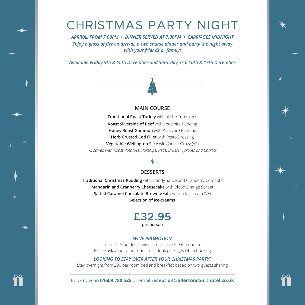# CHRISTMAS PARTY NIGHT

*ARRIVAL FROM 7.00PM • DINNER SERVED AT 7.30PM • CARRIAGES MIDNIGHT Enjoy a glass of fizz on arrival, a two course dinner and party the night away with your friends or family!*

*Available Friday 9th & 16th December and Saturday 3rd, 10th & 17th December*



#### **MAIN COURSE**

**Traditional Roast Turkey** with all the Trimmings **Roast Silverside of Beef** with Yorkshire Pudding **Honey Roast Gammon** with Yorkshire Pudding **Herb Crusted Cod Fillet** with Pesto Dressing **Vegetable Wellington Slice** with Onion Gravy (VE) *All served with Roast Potatoes, Parsnips, Peas, Brussel Sprouts and Carrots*

### **DESSERTS**

**Traditional Christmas Pudding** with Brandy Sauce and Cranberry Compote **Mandarin and Cranberry Cheesecake** with Blood Orange Sorbet **Salted Caramel Chocolate Brownie** with Vanilla Ice-cream (VF) **Selection of Ice-creams**

# **£32.95**

per person

#### *WINE PROMOTION*

 Pre-order 5 bottles of wine and receive the 6th one free! Please ask about other Christmas drink packages when booking

#### *LOOKING TO STAY OVER AFTER YOUR CHRISTMAS PARTY?*

Stay overnight from £90 per room bed and breakfast based on two guests sharing.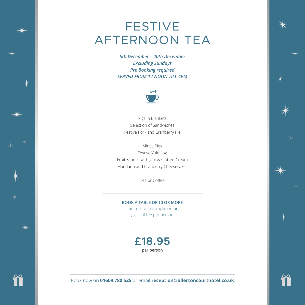## FESTIVE AFTERNOON TEA

*5th December – 20th December Excluding Sundays Pre Booking required SERVED FROM 12 NOON TILL 4PM*

Pigs in Blankets Selection of Sandwiches Festive Pork and Cranberry Pie

Mince Pies Festive Yule Log Fruit Scones with Jam & Clotted Cream Mandarin and Cranberry Cheesecakes

Tea or Coffee

#### **BOOK A TABLE OF 10 OR MORE**

 and receive a complimentary glass of fizz per person

### **£18.95** per person

 $\frac{1}{2}$ 

☀

 $\;\;\star$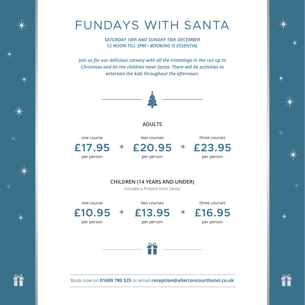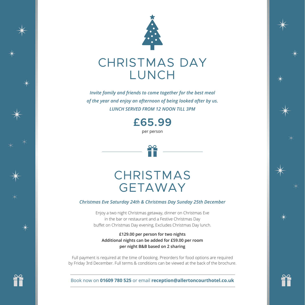

*Invite family and friends to come together for the best meal of the year and enjoy an afternoon of being looked after by us. LUNCH SERVED FROM 12 NOON TILL 3PM*

> **£65.99** per person

> > ŤÉ

### **CHRISTMAS** GETAWAY

*Christmas Eve Saturday 24th & Christmas Day Sunday 25th December* 

Enjoy a two night Christmas getaway, dinner on Christmas Eve in the bar or restaurant and a Festive Christmas Day buffet on Christmas Day evening, Excludes Christmas Day lunch.

#### **£129.00 per person for two nights Additional nights can be added for £59.00 per room per night B&B based on 2 sharing**

Full payment is required at the time of booking. Preorders for food options are required by Friday 3rd December. Full terms & conditions can be viewed at the back of the brochure.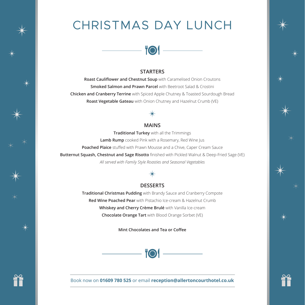# CHRISTMAS DAY LUNCH

### **STARTERS**

 $\blacksquare$ 

**Roast Cauliflower and Chestnut Soup** with Caramelised Onion Croutons **Smoked Salmon and Prawn Parcel** with Beetroot Salad & Crostini **Chicken and Cranberry Terrine** with Spiced Apple Chutney & Toasted Sourdough Bread **Roast Vegetable Gateau** with Onion Chutney and Hazelnut Crumb (VE)

#### **MAINS**

**Traditional Turkey** with all the Trimmings **Lamb Rump** cooked Pink with a Rosemary, Red Wine Jus **Poached Plaice** stuffed with Prawn Mousse and a Chive, Caper Cream Sauce **Butternut Squash, Chestnut and Sage Risotto** finished with Pickled Walnut & Deep-Fried Sage (VE) *All served with Family Style Roasties and Seasonal Vegetables*

#### **DESSERTS**

**Traditional Christmas Pudding** with Brandy Sauce and Cranberry Compote **Red Wine Poached Pear** with Pistachio Ice-cream & Hazelnut Crumb **Whiskey and Cherry Crème Brulé** with Vanilla Ice-cream **Chocolate Orange Tart** with Blood Orange Sorbet (VE)

**Mint Chocolates and Tea or Coffee**

Book now on **01609 780 525** or email **reception@allertoncourthotel.co.uk**

**TO**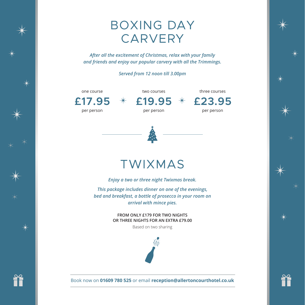## BOXING DAY **CARVERY**

*After all the excitement of Christmas, relax with your family and friends and enjoy our popular carvery with all the Trimmings.*

*Served from 12 noon till 3.00pm*



### TWIXMAS

*Enjoy a two or three night Twixmas break.* 

*This package includes dinner on one of the evenings, bed and breakfast, a bottle of prosecco in your room on arrival with mince pies.*

> **FROM ONLY £179 FOR TWO NIGHTS OR THREE NIGHTS FOR AN EXTRA £79.00**

> > Based on two sharing

⋇

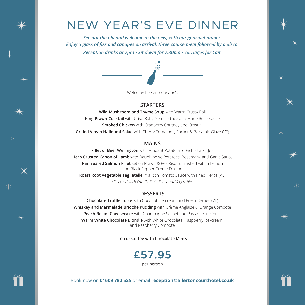## NEW YEAR'S EVE DINNER

*See out the old and welcome in the new, with our gourmet dinner. Enjoy a glass of fizz and canapes on arrival, three course meal followed by a disco. Reception drinks at 7pm • Sit down for 7.30pm • carriages for 1am*

Welcome Fizz and Canape's

### **STARTERS**

**Wild Mushroom and Thyme Soup** with Warm Crusty Roll **King Prawn Cocktail** with Crisp Baby Gem Lettuce and Marie Rose Sauce **Smoked Chicken** with Cranberry Chutney and Crostini **Grilled Vegan Halloumi Salad** with Cherry Tomatoes, Rocket & Balsamic Glaze (VE)

#### **MAINS**

**Fillet of Beef Wellington** with Fondant Potato and Rich Shallot lus **Herb Crusted Canon of Lamb** with Dauphinoise Potatoes, Rosemary, and Garlic Sauce **Pan Seared Salmon Fillet** set on Prawn & Pea Risotto finished with a Lemon and Black Pepper Crème Fraiche **Roast Root Vegetable Tagliatelle** in a Rich Tomato Sauce with Fried Herbs (VE) *All served with Family Style Seasonal Vegetables* 

### **DESSERTS**

**Chocolate Truffle Torte** with Coconut Ice-cream and Fresh Berries (VE) **Whiskey and Marmalade Brioche Pudding** with Crème Anglaise & Orange Compote **Peach Bellini Cheesecake** with Champagne Sorbet and Passionfruit Coulis **Warm White Chocolate Blondie** with White Chocolate, Raspberry Ice-cream, and Raspberry Compote

**Tea or Coffee with Chocolate Mints** 

**£57.95** per person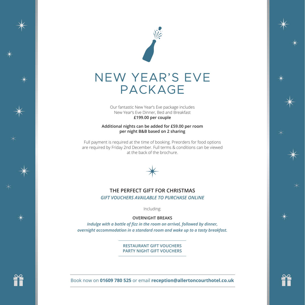

Our fantastic New Year's Eve package includes New Year's Eve Dinner, Bed and Breakfast **£199.00 per couple**

**Additional nights can be added for £59.00 per room per night B&B based on 2 sharing**

Full payment is required at the time of booking. Preorders for food options are required by Friday 2nd December. Full terms & conditions can be viewed at the back of the brochure.



#### **THE PERFECT GIFT FOR CHRISTMAS**

*GIFT VOUCHERS AVAILABLE TO PURCHASE ONLINE*

Including:

**OVERNIGHT BREAKS**

*Indulge with a bottle of fizz in the room on arrival, followed by dinner, overnight accommodation in a standard room and wake up to a tasty breakfast.*

#### **RESTAURANT GIFT VOUCHERS PARTY NIGHT GIFT VOUCHERS**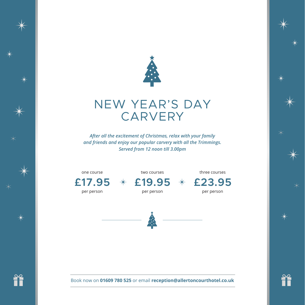

### NEW YEAR'S DAY **CARVERY**

*After all the excitement of Christmas, relax with your family and friends and enjoy our popular carvery with all the Trimmings. Served from 12 noon till 3.00pm*

one course

two courses

three courses



**£17.95** per person

 $\mathbf{r}$ 

per person

**£19.95**

per person

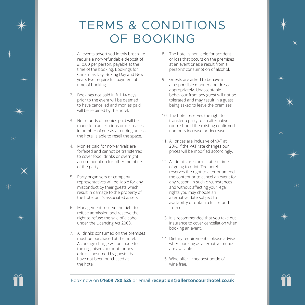# TERMS & CONDITIONS OF BOOKING

- 1. All events advertised in this brochure require a non-refundable deposit of £10.00 per person, payable at the time of the booking. Bookings for Christmas Day, Boxing Day and New years Eve require full payment at time of booking.
- 2. Bookings not paid in full 14 days prior to the event will be deemed to have cancelled and monies paid will be retained by the hotel.
- 3. No refunds of monies paid will be made for cancellations or decreases in number of guests attending unless the hotel is able to resell the space.
- 4. Monies paid for non-arrivals are forfeited and cannot be transferred to cover food, drinks or overnight accommodation for other members of the party.
- 5. Party organisers or company representatives will be liable for any misconduct by their guests which result in damage to the property of the hotel or it's associated assets.
- 6. Management reserve the right to refuse admission and reserve the right to refuse the sale of alcohol under the Licencing Act 2003.
- 7. All drinks consumed on the premises must be purchased at the hotel. A corkage charge will be made to the organisers account for any drinks consumed by guests that have not been purchased at the hotel.
- 8. The hotel is not liable for accident or loss that occurs on the premises at an event or as a result from a persons' consumption of alcohol.
- 9. Guests are asked to behave in a responsible manner and dress appropriately. Unacceptable behaviour from any guest will not be tolerated and may result in a guest being asked to leave the premises.
- 10. The hotel reserves the right to transfer a party to an alternative room should the existing confirmed numbers increase or decrease.
- 11. All prices are inclusive of VAT at 20%. If the VAT rate changes our prices will be modified accordingly.
- 12. All details are correct at the time of going to print. The hotel reserves the right to alter or amend the content or to cancel an event for any reason. In such circumstances and without affecting your legal rights you may choose an alternative date subject to availability or obtain a full refund from us.
- 13. It is recommended that you take out insurance to cover cancellation when booking an event.
- 14. Dietary requirements: please advise when booking as alternative menus are available.
- 15. Wine offer cheapest bottle of wine free.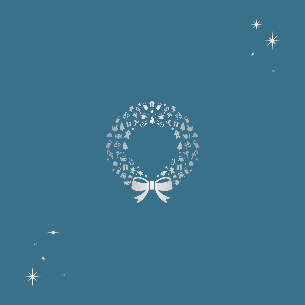

 $\overline{\ast}$